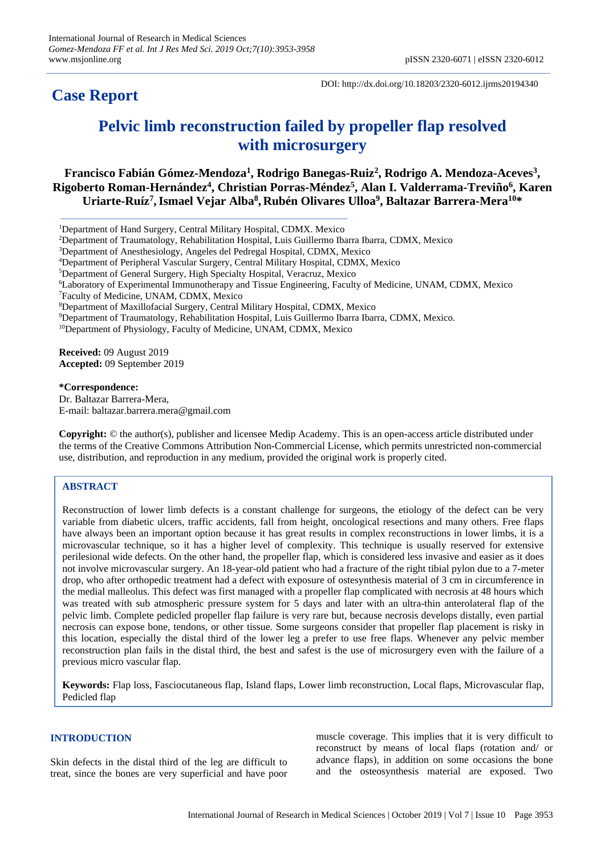## **Case Report**

DOI: http://dx.doi.org/10.18203/2320-6012.ijrms20194340

# **Pelvic limb reconstruction failed by propeller flap resolved with microsurgery**

**Francisco Fabián Gómez-Mendoza<sup>1</sup> , Rodrigo Banegas-Ruiz<sup>2</sup> , Rodrigo A. Mendoza-Aceves<sup>3</sup> , Rigoberto Roman-Hernández<sup>4</sup> , Christian Porras-Méndez<sup>5</sup> , Alan I. Valderrama-Treviño<sup>6</sup> , Karen Uriarte-Ruíz<sup>7</sup> ,Ismael Vejar Alba<sup>8</sup> , Rubén Olivares Ulloa<sup>9</sup> , Baltazar Barrera-Mera<sup>10</sup>\***

- <sup>2</sup>Department of Traumatology, Rehabilitation Hospital, Luis Guillermo Ibarra Ibarra, CDMX, Mexico
- <sup>3</sup>Department of Anesthesiology, Angeles del Pedregal Hospital, CDMX, Mexico
- <sup>4</sup>Department of Peripheral Vascular Surgery, Central Military Hospital, CDMX, Mexico
- <sup>5</sup>Department of General Surgery, High Specialty Hospital, Veracruz, Mexico
- <sup>6</sup>Laboratory of Experimental Immunotherapy and Tissue Engineering, Faculty of Medicine, UNAM, CDMX, Mexico <sup>7</sup>Faculty of Medicine, UNAM, CDMX, Mexico
- <sup>8</sup>Department of Maxillofacial Surgery, Central Military Hospital, CDMX, Mexico
- <sup>9</sup>Department of Traumatology, Rehabilitation Hospital, Luis Guillermo Ibarra Ibarra, CDMX, Mexico.
- <sup>10</sup>Department of Physiology, Faculty of Medicine, UNAM, CDMX, Mexico

**Received:** 09 August 2019 **Accepted:** 09 September 2019

**\*Correspondence:** Dr. Baltazar Barrera-Mera, E-mail: baltazar.barrera.mera@gmail.com

**Copyright:** © the author(s), publisher and licensee Medip Academy. This is an open-access article distributed under the terms of the Creative Commons Attribution Non-Commercial License, which permits unrestricted non-commercial use, distribution, and reproduction in any medium, provided the original work is properly cited.

### **ABSTRACT**

Reconstruction of lower limb defects is a constant challenge for surgeons, the etiology of the defect can be very variable from diabetic ulcers, traffic accidents, fall from height, oncological resections and many others. Free flaps have always been an important option because it has great results in complex reconstructions in lower limbs, it is a microvascular technique, so it has a higher level of complexity. This technique is usually reserved for extensive perilesional wide defects. On the other hand, the propeller flap, which is considered less invasive and easier as it does not involve microvascular surgery. An 18-year-old patient who had a fracture of the right tibial pylon due to a 7-meter drop, who after orthopedic treatment had a defect with exposure of ostesynthesis material of 3 cm in circumference in the medial malleolus. This defect was first managed with a propeller flap complicated with necrosis at 48 hours which was treated with sub atmospheric pressure system for 5 days and later with an ultra-thin anterolateral flap of the pelvic limb. Complete pedicled propeller flap failure is very rare but, because necrosis develops distally, even partial necrosis can expose bone, tendons, or other tissue. Some surgeons consider that propeller flap placement is risky in this location, especially the distal third of the lower leg a prefer to use free flaps. Whenever any pelvic member reconstruction plan fails in the distal third, the best and safest is the use of microsurgery even with the failure of a previous micro vascular flap.

**Keywords:** Flap loss, Fasciocutaneous flap, Island flaps, Lower limb reconstruction, Local flaps, Microvascular flap, Pedicled flap

#### **INTRODUCTION**

Skin defects in the distal third of the leg are difficult to treat, since the bones are very superficial and have poor

muscle coverage. This implies that it is very difficult to reconstruct by means of local flaps (rotation and/ or advance flaps), in addition on some occasions the bone and the osteosynthesis material are exposed. Two

<sup>1</sup>Department of Hand Surgery, Central Military Hospital, CDMX. Mexico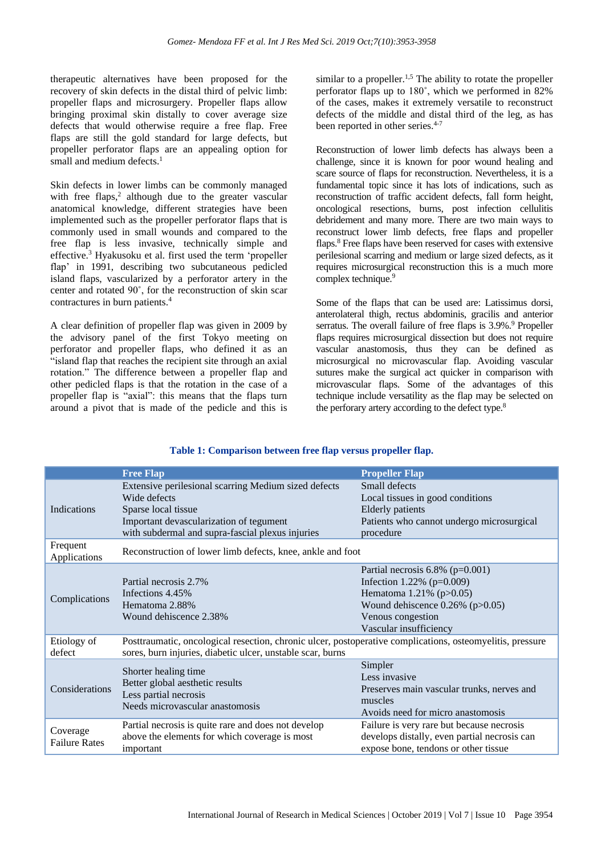therapeutic alternatives have been proposed for the recovery of skin defects in the distal third of pelvic limb: propeller flaps and microsurgery. Propeller flaps allow bringing proximal skin distally to cover average size defects that would otherwise require a free flap. Free flaps are still the gold standard for large defects, but propeller perforator flaps are an appealing option for small and medium defects.<sup>1</sup>

Skin defects in lower limbs can be commonly managed with free flaps,<sup>2</sup> although due to the greater vascular anatomical knowledge, different strategies have been implemented such as the propeller perforator flaps that is commonly used in small wounds and compared to the free flap is less invasive, technically simple and effective.<sup>3</sup> Hyakusoku et al. first used the term 'propeller flap' in 1991, describing two subcutaneous pedicled island flaps, vascularized by a perforator artery in the center and rotated 90˚, for the reconstruction of skin scar contractures in burn patients.<sup>4</sup>

A clear definition of propeller flap was given in 2009 by the advisory panel of the first Tokyo meeting on perforator and propeller flaps, who defined it as an "island flap that reaches the recipient site through an axial rotation." The difference between a propeller flap and other pedicled flaps is that the rotation in the case of a propeller flap is "axial": this means that the flaps turn around a pivot that is made of the pedicle and this is

similar to a propeller.<sup>1,5</sup> The ability to rotate the propeller perforator flaps up to 180˚, which we performed in 82% of the cases, makes it extremely versatile to reconstruct defects of the middle and distal third of the leg, as has been reported in other series.<sup>4-7</sup>

Reconstruction of lower limb defects has always been a challenge, since it is known for poor wound healing and scare source of flaps for reconstruction. Nevertheless, it is a fundamental topic since it has lots of indications, such as reconstruction of traffic accident defects, fall form height, oncological resections, burns, post infection cellulitis debridement and many more. There are two main ways to reconstruct lower limb defects, free flaps and propeller flaps.<sup>8</sup> Free flaps have been reserved for cases with extensive perilesional scarring and medium or large sized defects, as it requires microsurgical reconstruction this is a much more complex technique.<sup>9</sup>

Some of the flaps that can be used are: Latissimus dorsi, anterolateral thigh, rectus abdominis, gracilis and anterior serratus. The overall failure of free flaps is 3.9%.<sup>9</sup> Propeller flaps requires microsurgical dissection but does not require vascular anastomosis, thus they can be defined as microsurgical no microvascular flap. Avoiding vascular sutures make the surgical act quicker in comparison with microvascular flaps. Some of the advantages of this technique include versatility as the flap may be selected on the perforary artery according to the defect type.<sup>8</sup>

| Table 1: Comparison between free flap versus propeller flap. |  |  |  |
|--------------------------------------------------------------|--|--|--|
|                                                              |  |  |  |

|                                  | <b>Free Flap</b>                                                                                                                                                                           | <b>Propeller Flap</b>                                                                                                                                                                   |  |  |  |
|----------------------------------|--------------------------------------------------------------------------------------------------------------------------------------------------------------------------------------------|-----------------------------------------------------------------------------------------------------------------------------------------------------------------------------------------|--|--|--|
| <b>Indications</b>               | Extensive perilesional scarring Medium sized defects<br>Wide defects<br>Sparse local tissue<br>Important devascularization of tegument<br>with subdermal and supra-fascial plexus injuries | Small defects<br>Local tissues in good conditions<br>Elderly patients<br>Patients who cannot undergo microsurgical<br>procedure                                                         |  |  |  |
| Frequent<br>Applications         | Reconstruction of lower limb defects, knee, ankle and foot                                                                                                                                 |                                                                                                                                                                                         |  |  |  |
| Complications                    | Partial necrosis 2.7%<br>Infections 4.45%<br>Hematoma 2.88%<br>Wound dehiscence 2.38%                                                                                                      | Partial necrosis $6.8\%$ (p=0.001)<br>Infection 1.22% ( $p=0.009$ )<br>Hematoma 1.21% (p>0.05)<br>Wound dehiscence $0.26\%$ (p $>0.05$ )<br>Venous congestion<br>Vascular insufficiency |  |  |  |
| Etiology of<br>defect            | Posttraumatic, oncological resection, chronic ulcer, postoperative complications, osteomyelitis, pressure<br>sores, burn injuries, diabetic ulcer, unstable scar, burns                    |                                                                                                                                                                                         |  |  |  |
| Considerations                   | Shorter healing time<br>Better global aesthetic results<br>Less partial necrosis<br>Needs microvascular anastomosis                                                                        | Simpler<br>Less invasive<br>Preserves main vascular trunks, nerves and<br>muscles<br>Avoids need for micro anastomosis                                                                  |  |  |  |
| Coverage<br><b>Failure Rates</b> | Partial necrosis is quite rare and does not develop<br>above the elements for which coverage is most<br>important                                                                          | Failure is very rare but because necrosis<br>develops distally, even partial necrosis can<br>expose bone, tendons or other tissue                                                       |  |  |  |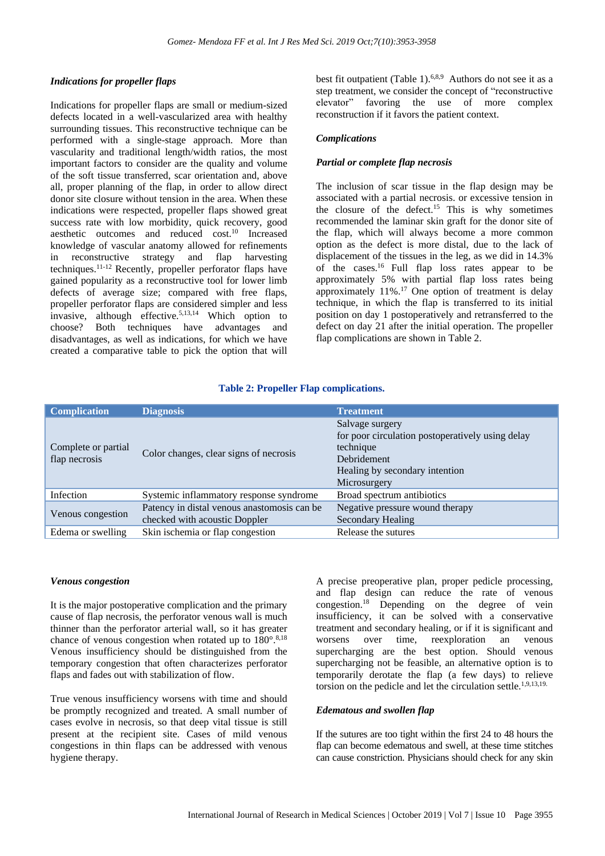#### *Indications for propeller flaps*

Indications for propeller flaps are small or medium-sized defects located in a well-vascularized area with healthy surrounding tissues. This reconstructive technique can be performed with a single-stage approach. More than vascularity and traditional length/width ratios, the most important factors to consider are the quality and volume of the soft tissue transferred, scar orientation and, above all, proper planning of the flap, in order to allow direct donor site closure without tension in the area. When these indications were respected, propeller flaps showed great success rate with low morbidity, quick recovery, good aesthetic outcomes and reduced cost.<sup>10</sup> Increased knowledge of vascular anatomy allowed for refinements in reconstructive strategy and flap harvesting techniques. 11-12 Recently, propeller perforator flaps have gained popularity as a reconstructive tool for lower limb defects of average size; compared with free flaps, propeller perforator flaps are considered simpler and less invasive, although effective.5,13,14 Which option to choose? Both techniques have advantages and disadvantages, as well as indications, for which we have created a comparative table to pick the option that will

best fit outpatient (Table 1).<sup>6,8,9</sup> Authors do not see it as a step treatment, we consider the concept of "reconstructive elevator" favoring the use of more complex reconstruction if it favors the patient context.

#### *Complications*

#### *Partial or complete flap necrosis*

The inclusion of scar tissue in the flap design may be associated with a partial necrosis. or excessive tension in the closure of the defect.<sup>15</sup> This is why sometimes recommended the laminar skin graft for the donor site of the flap, which will always become a more common option as the defect is more distal, due to the lack of displacement of the tissues in the leg, as we did in 14.3% of the cases.<sup>16</sup> Full flap loss rates appear to be approximately 5% with partial flap loss rates being approximately  $2\frac{3}{10}$  and  $\frac{100}{17}$  One option of treatment is delay technique, in which the flap is transferred to its initial position on day 1 postoperatively and retransferred to the defect on day 21 after the initial operation. The propeller flap complications are shown in Table 2.

#### **Table 2: Propeller Flap complications.**

| <b>Complication</b>                  | <b>Diagnosis</b>                                                             | <b>Treatment</b>                                                                                                                                         |
|--------------------------------------|------------------------------------------------------------------------------|----------------------------------------------------------------------------------------------------------------------------------------------------------|
| Complete or partial<br>flap necrosis | Color changes, clear signs of necrosis                                       | Salvage surgery<br>for poor circulation postoperatively using delay<br>technique<br><b>Debridement</b><br>Healing by secondary intention<br>Microsurgery |
| Infection                            | Systemic inflammatory response syndrome                                      | Broad spectrum antibiotics                                                                                                                               |
| Venous congestion                    | Patency in distal venous anastomosis can be<br>checked with acoustic Doppler | Negative pressure wound therapy<br><b>Secondary Healing</b>                                                                                              |
| Edema or swelling                    | Skin ischemia or flap congestion                                             | Release the sutures                                                                                                                                      |

#### *Venous congestion*

It is the major postoperative complication and the primary cause of flap necrosis, the perforator venous wall is much thinner than the perforator arterial wall, so it has greater chance of venous congestion when rotated up to  $180^{\circ}.8,18$ Venous insufficiency should be distinguished from the temporary congestion that often characterizes perforator flaps and fades out with stabilization of flow.

True venous insufficiency worsens with time and should be promptly recognized and treated. A small number of cases evolve in necrosis, so that deep vital tissue is still present at the recipient site. Cases of mild venous congestions in thin flaps can be addressed with venous hygiene therapy.

A precise preoperative plan, proper pedicle processing, and flap design can reduce the rate of venous congestion. <sup>18</sup> Depending on the degree of vein insufficiency, it can be solved with a conservative treatment and secondary healing, or if it is significant and worsens over time, reexploration an venous supercharging are the best option. Should venous supercharging not be feasible, an alternative option is to temporarily derotate the flap (a few days) to relieve torsion on the pedicle and let the circulation settle. 1,9,13,19.

#### *Edematous and swollen flap*

If the sutures are too tight within the first 24 to 48 hours the flap can become edematous and swell, at these time stitches can cause constriction. Physicians should check for any skin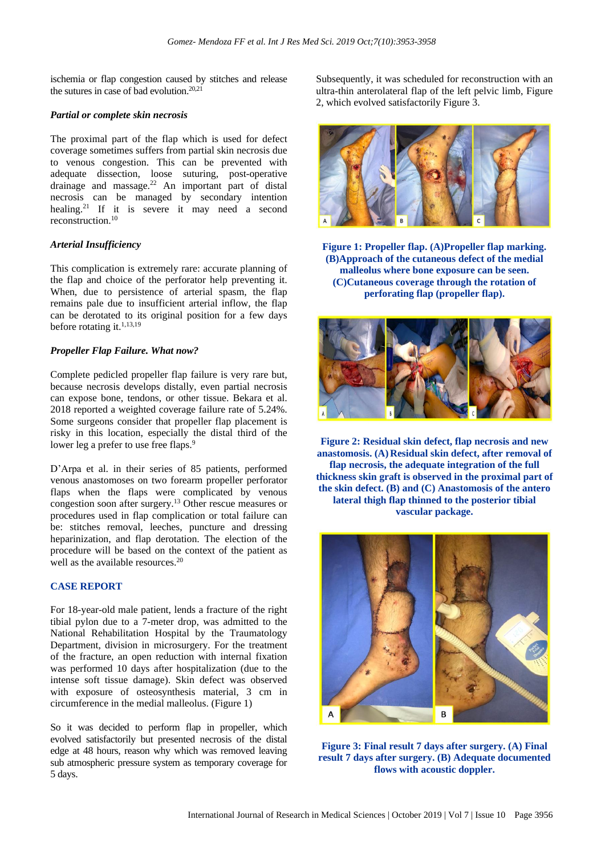ischemia or flap congestion caused by stitches and release the sutures in case of bad evolution.<sup>20,21</sup>

#### *Partial or complete skin necrosis*

The proximal part of the flap which is used for defect coverage sometimes suffers from partial skin necrosis due to venous congestion. This can be prevented with adequate dissection, loose suturing, post-operative drainage and massage. $22$  An important part of distal necrosis can be managed by secondary intention healing.<sup>21</sup> If it is severe it may need a second reconstruction.<sup>10</sup>

#### *Arterial Insufficiency*

This complication is extremely rare: accurate planning of the flap and choice of the perforator help preventing it. When, due to persistence of arterial spasm, the flap remains pale due to insufficient arterial inflow, the flap can be derotated to its original position for a few days before rotating it.<sup>1,13,19</sup>

#### *Propeller Flap Failure. What now?*

Complete pedicled propeller flap failure is very rare but, because necrosis develops distally, even partial necrosis can expose bone, tendons, or other tissue. Bekara et al. 2018 reported a weighted coverage failure rate of 5.24%. Some surgeons consider that propeller flap placement is risky in this location, especially the distal third of the lower leg a prefer to use free flaps.<sup>9</sup>

D'Arpa et al. in their series of 85 patients, performed venous anastomoses on two forearm propeller perforator flaps when the flaps were complicated by venous congestion soon after surgery.<sup>13</sup> Other rescue measures or procedures used in flap complication or total failure can be: stitches removal, leeches, puncture and dressing heparinization, and flap derotation. The election of the procedure will be based on the context of the patient as well as the available resources. 20

#### **CASE REPORT**

For 18-year-old male patient, lends a fracture of the right tibial pylon due to a 7-meter drop, was admitted to the National Rehabilitation Hospital by the Traumatology Department, division in microsurgery. For the treatment of the fracture, an open reduction with internal fixation was performed 10 days after hospitalization (due to the intense soft tissue damage). Skin defect was observed with exposure of osteosynthesis material, 3 cm in circumference in the medial malleolus. (Figure 1)

So it was decided to perform flap in propeller, which evolved satisfactorily but presented necrosis of the distal edge at 48 hours, reason why which was removed leaving sub atmospheric pressure system as temporary coverage for 5 days.

Subsequently, it was scheduled for reconstruction with an ultra-thin anterolateral flap of the left pelvic limb, Figure 2, which evolved satisfactorily Figure 3.



**Figure 1: Propeller flap. (A)Propeller flap marking. (B)Approach of the cutaneous defect of the medial malleolus where bone exposure can be seen. (C)Cutaneous coverage through the rotation of perforating flap (propeller flap).**



**Figure 2: Residual skin defect, flap necrosis and new anastomosis. (A)Residual skin defect, after removal of flap necrosis, the adequate integration of the full thickness skin graft is observed in the proximal part of the skin defect. (B) and (C) Anastomosis of the antero lateral thigh flap thinned to the posterior tibial vascular package.**



**Figure 3: Final result 7 days after surgery. (A) Final result 7 days after surgery. (B) Adequate documented flows with acoustic doppler.**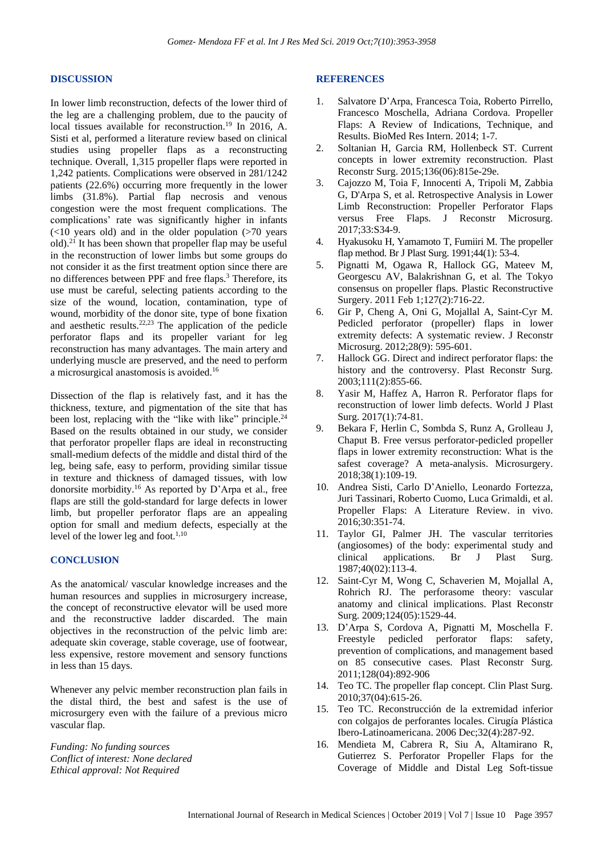#### **DISCUSSION**

In lower limb reconstruction, defects of the lower third of the leg are a challenging problem, due to the paucity of local tissues available for reconstruction.<sup>19</sup> In 2016, A. Sisti et al, performed a literature review based on clinical studies using propeller flaps as a reconstructing technique. Overall, 1,315 propeller flaps were reported in 1,242 patients. Complications were observed in 281/1242 patients (22.6%) occurring more frequently in the lower limbs (31.8%). Partial flap necrosis and venous congestion were the most frequent complications. The complications' rate was significantly higher in infants  $(<10$  years old) and in the older population  $(>70)$  years old).<sup>21</sup> It has been shown that propeller flap may be useful in the reconstruction of lower limbs but some groups do not consider it as the first treatment option since there are no differences between PPF and free flaps.<sup>3</sup> Therefore, its use must be careful, selecting patients according to the size of the wound, location, contamination, type of wound, morbidity of the donor site, type of bone fixation and aesthetic results. $22,23$  The application of the pedicle perforator flaps and its propeller variant for leg reconstruction has many advantages. The main artery and underlying muscle are preserved, and the need to perform a microsurgical anastomosis is avoided.<sup>16</sup>

Dissection of the flap is relatively fast, and it has the thickness, texture, and pigmentation of the site that has been lost, replacing with the "like with like" principle.<sup>24</sup> Based on the results obtained in our study, we consider that perforator propeller flaps are ideal in reconstructing small-medium defects of the middle and distal third of the leg, being safe, easy to perform, providing similar tissue in texture and thickness of damaged tissues, with low donorsite morbidity.<sup>16</sup> As reported by D'Arpa et al., free flaps are still the gold-standard for large defects in lower limb, but propeller perforator flaps are an appealing option for small and medium defects, especially at the level of the lower leg and foot.<sup>1,10</sup>

#### **CONCLUSION**

As the anatomical/ vascular knowledge increases and the human resources and supplies in microsurgery increase, the concept of reconstructive elevator will be used more and the reconstructive ladder discarded. The main objectives in the reconstruction of the pelvic limb are: adequate skin coverage, stable coverage, use of footwear, less expensive, restore movement and sensory functions in less than 15 days.

Whenever any pelvic member reconstruction plan fails in the distal third, the best and safest is the use of microsurgery even with the failure of a previous micro vascular flap.

*Funding: No funding sources Conflict of interest: None declared Ethical approval: Not Required*

#### **REFERENCES**

- 1. Salvatore D'Arpa, Francesca Toia, Roberto Pirrello, Francesco Moschella, Adriana Cordova. Propeller Flaps: A Review of Indications, Technique, and Results. BioMed Res Intern. 2014; 1-7.
- 2. Soltanian H, Garcia RM, Hollenbeck ST. Current concepts in lower extremity reconstruction. Plast Reconstr Surg. 2015;136(06):815e-29e.
- 3. Cajozzo M, Toia F, Innocenti A, Tripoli M, Zabbia G, D'Arpa S, et al. Retrospective Analysis in Lower Limb Reconstruction: Propeller Perforator Flaps versus Free Flaps. J Reconstr Microsurg. 2017;33:S34-9.
- 4. Hyakusoku H, Yamamoto T, Fumiiri M. The propeller flap method. Br J Plast Surg. 1991;44(1): 53-4.
- 5. Pignatti M, Ogawa R, Hallock GG, Mateev M, Georgescu AV, Balakrishnan G, et al. The Tokyo consensus on propeller flaps. Plastic Reconstructive Surgery. 2011 Feb 1;127(2):716-22.
- 6. Gir P, Cheng A, Oni G, Mojallal A, Saint-Cyr M. Pedicled perforator (propeller) flaps in lower extremity defects: A systematic review. J Reconstr Microsurg. 2012;28(9): 595-601.
- 7. Hallock GG. Direct and indirect perforator flaps: the history and the controversy. Plast Reconstr Surg. 2003;111(2):855-66.
- 8. Yasir M, Haffez A, Harron R. Perforator flaps for reconstruction of lower limb defects. World J Plast Surg. 2017(1):74-81.
- 9. Bekara F, Herlin C, Sombda S, Runz A, Grolleau J, Chaput B. Free versus perforator-pedicled propeller flaps in lower extremity reconstruction: What is the safest coverage? A meta-analysis. Microsurgery. 2018;38(1):109-19.
- 10. Andrea Sisti, Carlo D'Aniello, Leonardo Fortezza, Juri Tassinari, Roberto Cuomo, Luca Grimaldi, et al. Propeller Flaps: A Literature Review. in vivo. 2016;30:351-74.
- 11. Taylor GI, Palmer JH. The vascular territories (angiosomes) of the body: experimental study and clinical applications. Br J Plast Surg. 1987;40(02):113-4.
- 12. Saint-Cyr M, Wong C, Schaverien M, Mojallal A, Rohrich RJ. The perforasome theory: vascular anatomy and clinical implications. Plast Reconstr Surg. 2009;124(05):1529-44.
- 13. D'Arpa S, Cordova A, Pignatti M, Moschella F. Freestyle pedicled perforator flaps: safety, prevention of complications, and management based on 85 consecutive cases. Plast Reconstr Surg. 2011;128(04):892-906
- 14. Teo TC. The propeller flap concept. Clin Plast Surg. 2010;37(04):615-26.
- 15. Teo TC. Reconstrucción de la extremidad inferior con colgajos de perforantes locales. Cirugía Plástica Ibero-Latinoamericana. 2006 Dec;32(4):287-92.
- 16. Mendieta M, Cabrera R, Siu A, Altamirano R, Gutierrez S. Perforator Propeller Flaps for the Coverage of Middle and Distal Leg Soft-tissue